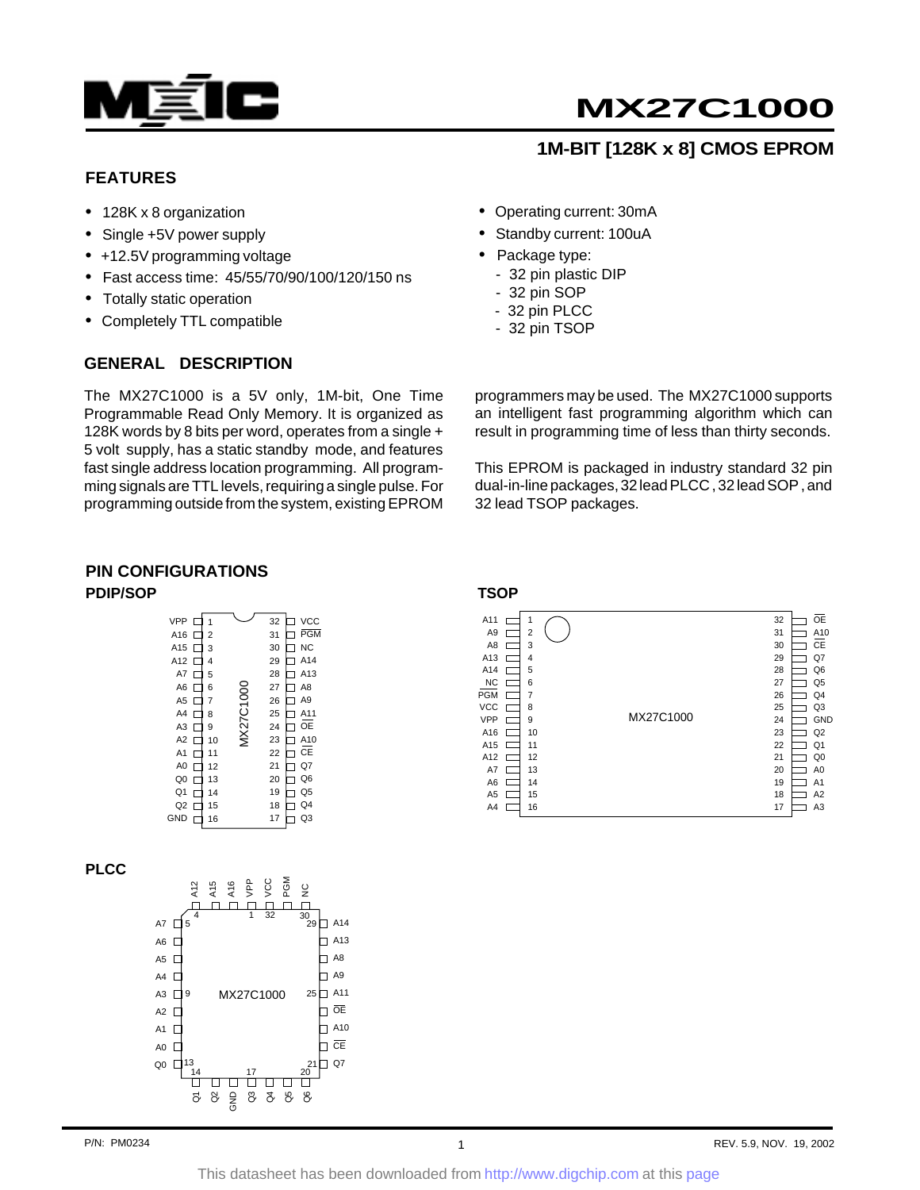

# **MX27C1000**

# **1M-BIT [128K x 8] CMOS EPROM**

### **FEATURES**

- 128K x 8 organization
- Single +5V power supply
- +12.5V programming voltage
- Fast access time: 45/55/70/90/100/120/150 ns
- Totally static operation
- Completely TTL compatible

#### **GENERAL DESCRIPTION**

The MX27C1000 is a 5V only, 1M-bit, One Time Programmable Read Only Memory. It is organized as 128K words by 8 bits per word, operates from a single + 5 volt supply, has a static standby mode, and features fast single address location programming. All programming signals are TTL levels, requiring a single pulse. For programming outside from the system, existing EPROM

- Operating current: 30mA
- Standby current: 100uA
- Package type:
	- 32 pin plastic DIP
	- 32 pin SOP
	- 32 pin PLCC
	- 32 pin TSOP

programmers may be used. The MX27C1000 supports an intelligent fast programming algorithm which can result in programming time of less than thirty seconds.

This EPROM is packaged in industry standard 32 pin dual-in-line packages, 32 lead PLCC , 32 lead SOP , and 32 lead TSOP packages.

#### **PIN CONFIGURATIONS PDIP/SOP**

| <b>VPP</b>     |                |           | 32 | <b>VCC</b>      |
|----------------|----------------|-----------|----|-----------------|
| A16            | $\overline{2}$ |           | 31 | <b>PGM</b>      |
| A15            | 3              |           | 30 | <b>NC</b>       |
| A12            | 4              |           | 29 | A <sub>14</sub> |
| A7             | 5              |           | 28 | A13             |
| A <sub>6</sub> | 6              |           | 27 | A <sub>8</sub>  |
| A <sub>5</sub> | 7              | MX27C1000 | 26 | A <sub>9</sub>  |
| A4             | 8              |           | 25 | A11             |
| A3             | 9              |           | 24 | OE              |
| A <sub>2</sub> | 10             |           | 23 | A10             |
| A <sub>1</sub> | 11             |           | 22 | СE              |
| A <sub>0</sub> | 12             |           | 21 | Q7              |
| Q <sub>0</sub> | 13             |           | 20 | Q6              |
| Q1             | 14             |           | 19 | Q <sub>5</sub>  |
| Q <sub>2</sub> | 15             |           | 18 | Q4              |
| <b>GND</b>     | 16             |           | 17 | Q3              |

#### **PLCC**



**TSOP**

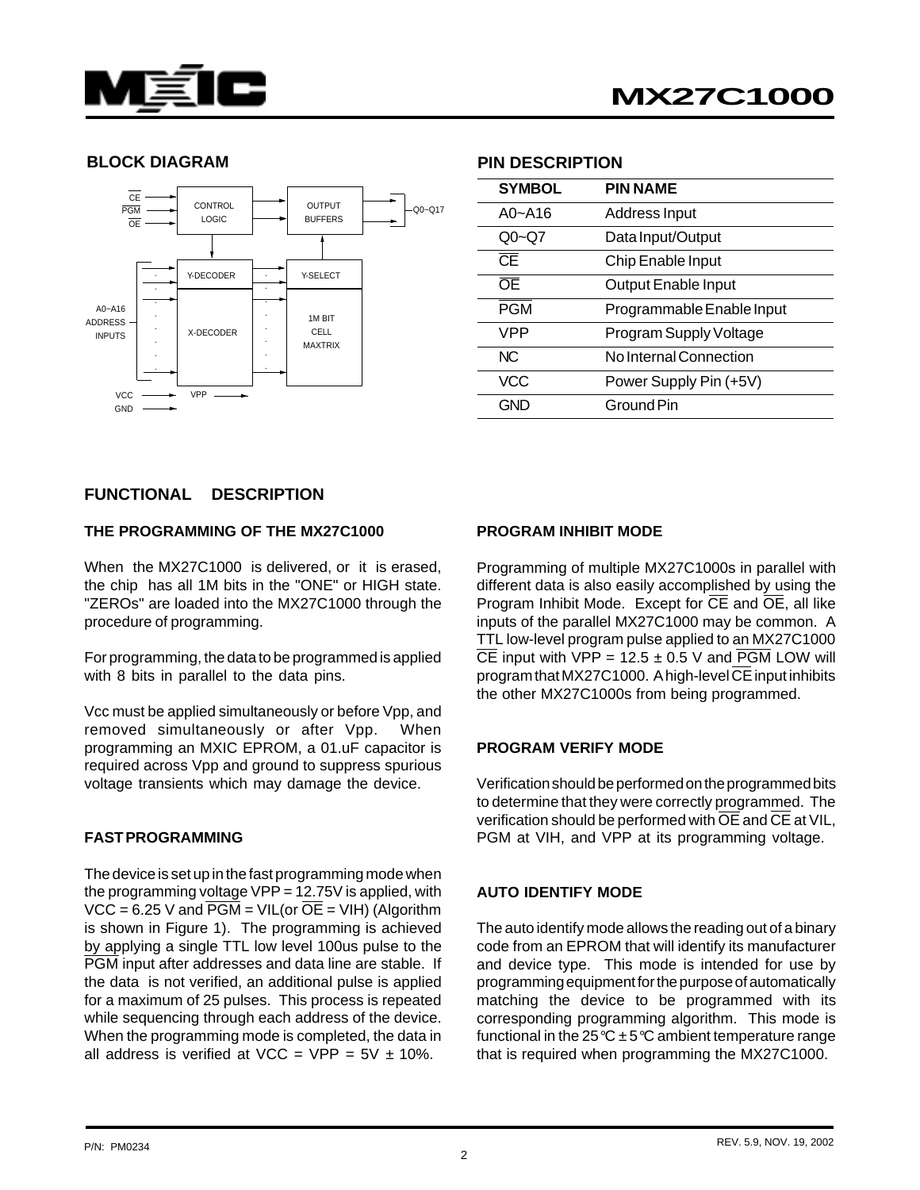



#### **BLOCK DIAGRAM PIN DESCRIPTION**



| <b>SYMBOL</b> | <b>PIN NAME</b>           |
|---------------|---------------------------|
| $A0 - A16$    | Address Input             |
| $Q_0$ ~Q7     | Data Input/Output         |
| CE            | Chip Enable Input         |
| ŌE            | Output Enable Input       |
| <b>PGM</b>    | Programmable Enable Input |
| VPP           | Program Supply Voltage    |
| NC.           | No Internal Connection    |
| <b>VCC</b>    | Power Supply Pin (+5V)    |
| GND           | Ground Pin                |
|               |                           |

#### **FUNCTIONAL DESCRIPTION**

#### **THE PROGRAMMING OF THE MX27C1000**

When the MX27C1000 is delivered, or it is erased. the chip has all 1M bits in the "ONE" or HIGH state. "ZEROs" are loaded into the MX27C1000 through the procedure of programming.

For programming, the data to be programmed is applied with 8 bits in parallel to the data pins.

Vcc must be applied simultaneously or before Vpp, and removed simultaneously or after Vpp. When programming an MXIC EPROM, a 01.uF capacitor is required across Vpp and ground to suppress spurious voltage transients which may damage the device.

#### **FAST PROGRAMMING**

The device is set up in the fast programming mode when the programming voltage  $VPP = 12.75V$  is applied, with  $VCC = 6.25$  V and  $\overline{PGM} = VIL($ or  $\overline{OE} = VIH$ ) (Algorithm is shown in Figure 1). The programming is achieved by applying a single TTL low level 100us pulse to the PGM input after addresses and data line are stable. If the data is not verified, an additional pulse is applied for a maximum of 25 pulses. This process is repeated while sequencing through each address of the device. When the programming mode is completed, the data in all address is verified at VCC = VPP =  $5V \pm 10\%$ .

#### **PROGRAM INHIBIT MODE**

Programming of multiple MX27C1000s in parallel with different data is also easily accomplished by using the Program Inhibit Mode. Except for  $\overline{CE}$  and  $\overline{OE}$ , all like inputs of the parallel MX27C1000 may be common. A TTL low-level program pulse applied to an MX27C1000  $\overline{CE}$  input with VPP = 12.5  $\pm$  0.5 V and PGM LOW will program that MX27C1000. A high-level CE input inhibits the other MX27C1000s from being programmed.

#### **PROGRAM VERIFY MODE**

Verification should be performed on the programmed bits to determine that they were correctly programmed. The verification should be performed with OE and CE at VIL, PGM at VIH, and VPP at its programming voltage.

#### **AUTO IDENTIFY MODE**

The auto identify mode allows the reading out of a binary code from an EPROM that will identify its manufacturer and device type. This mode is intended for use by programming equipment for the purpose of automatically matching the device to be programmed with its corresponding programming algorithm. This mode is functional in the 25 °C  $\pm$  5 °C ambient temperature range that is required when programming the MX27C1000.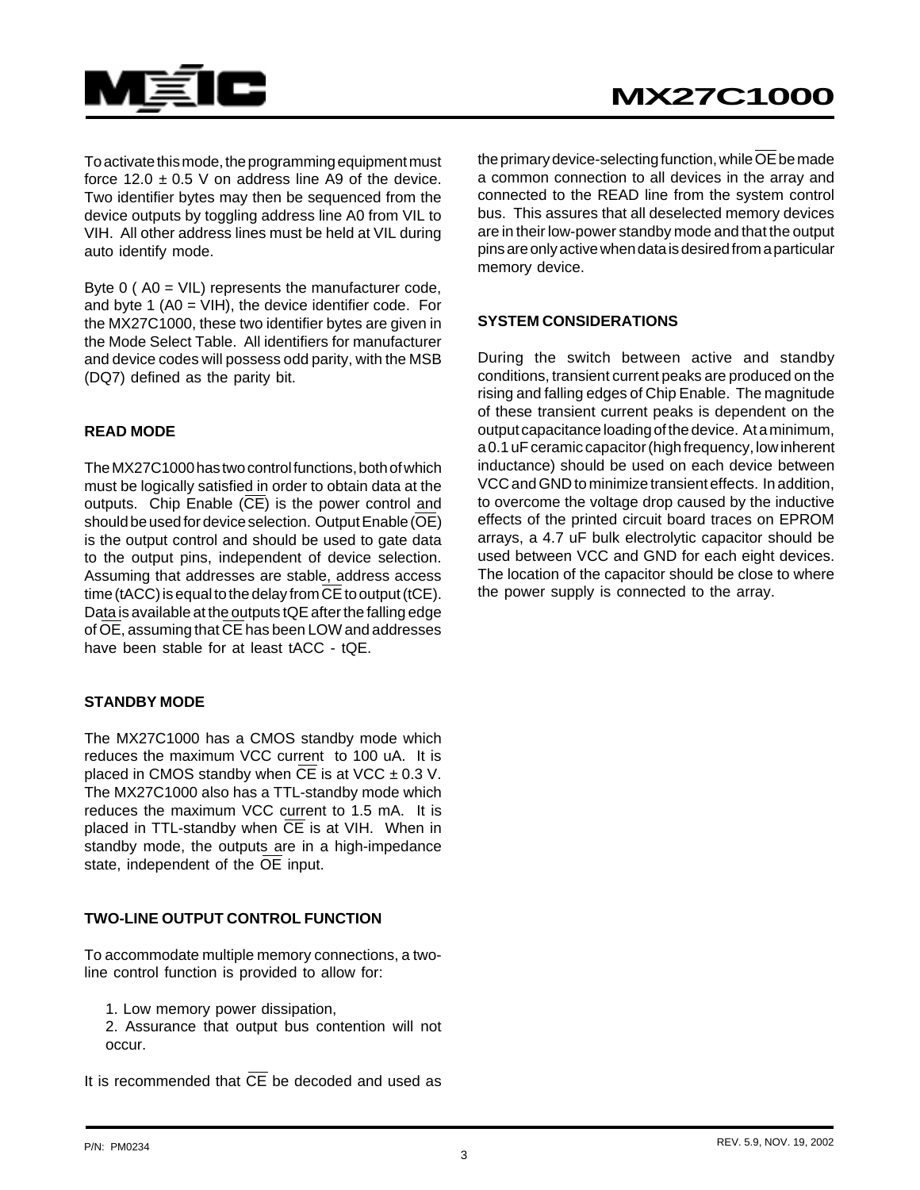

To activate this mode, the programming equipment must force  $12.0 \pm 0.5$  V on address line A9 of the device. Two identifier bytes may then be sequenced from the device outputs by toggling address line A0 from VIL to VIH. All other address lines must be held at VIL during auto identify mode.

Byte 0 ( A0 = VIL) represents the manufacturer code, and byte 1 (A0 = VIH), the device identifier code. For the MX27C1000, these two identifier bytes are given in the Mode Select Table. All identifiers for manufacturer and device codes will possess odd parity, with the MSB (DQ7) defined as the parity bit.

#### **READ MODE**

The MX27C1000 has two control functions, both of which must be logically satisfied in order to obtain data at the outputs. Chip Enable  $(\overline{CE})$  is the power control and should be used for device selection. Output Enable (OE) is the output control and should be used to gate data to the output pins, independent of device selection. Assuming that addresses are stable, address access time (tACC) is equal to the delay from  $\overline{\text{CE}}$  to output (tCE). Data is available at the outputs tQE after the falling edge of  $\overline{OE}$ , assuming that  $\overline{CE}$  has been LOW and addresses have been stable for at least tACC - tQE.

#### **STANDBY MODE**

The MX27C1000 has a CMOS standby mode which reduces the maximum VCC current to 100 uA. It is placed in CMOS standby when CE is at VCC  $\pm$  0.3 V. The MX27C1000 also has a TTL-standby mode which reduces the maximum VCC current to 1.5 mA. It is placed in TTL-standby when  $\overline{CE}$  is at VIH. When in standby mode, the outputs are in a high-impedance state, independent of the OE input.

#### **TWO-LINE OUTPUT CONTROL FUNCTION**

To accommodate multiple memory connections, a twoline control function is provided to allow for:

1. Low memory power dissipation,

2. Assurance that output bus contention will not occur.

It is recommended that  $\overline{\text{CE}}$  be decoded and used as

the primary device-selecting function, while  $\overline{OE}$  be made a common connection to all devices in the array and connected to the READ line from the system control bus. This assures that all deselected memory devices are in their low-power standby mode and that the output pins are only active when data is desired from a particular memory device.

#### **SYSTEM CONSIDERATIONS**

During the switch between active and standby conditions, transient current peaks are produced on the rising and falling edges of Chip Enable. The magnitude of these transient current peaks is dependent on the output capacitance loading of the device. At a minimum, a 0.1 uF ceramic capacitor (high frequency, low inherent inductance) should be used on each device between VCC and GND to minimize transient effects. In addition, to overcome the voltage drop caused by the inductive effects of the printed circuit board traces on EPROM arrays, a 4.7 uF bulk electrolytic capacitor should be used between VCC and GND for each eight devices. The location of the capacitor should be close to where the power supply is connected to the array.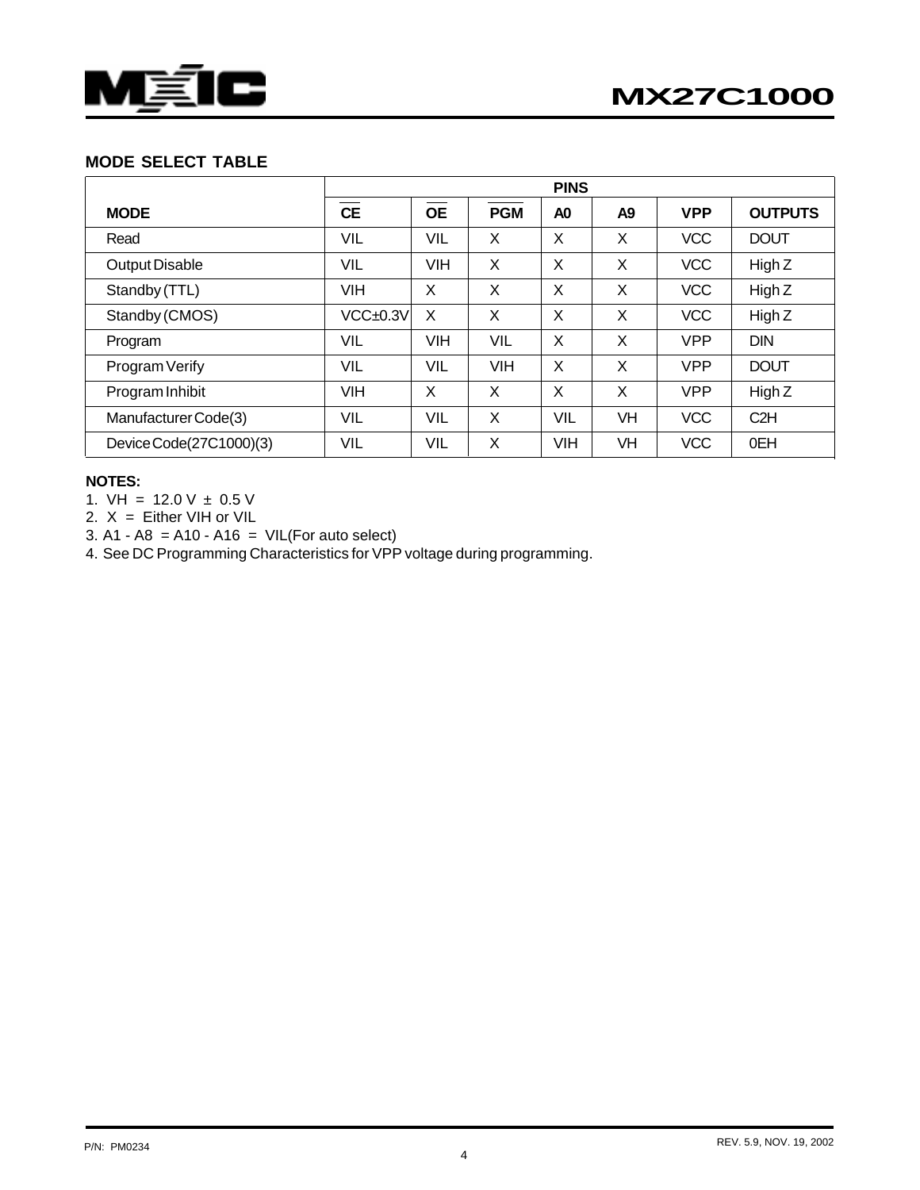

### **MODE SELECT TABLE**

|                         | <b>PINS</b> |            |            |                |           |            |                |  |
|-------------------------|-------------|------------|------------|----------------|-----------|------------|----------------|--|
| <b>MODE</b>             | <b>CE</b>   | <b>OE</b>  | <b>PGM</b> | A <sub>0</sub> | A9        | <b>VPP</b> | <b>OUTPUTS</b> |  |
| Read                    | VIL         | VIL        | X          | X              | X         | <b>VCC</b> | <b>DOUT</b>    |  |
| Output Disable          | VIL         | <b>VIH</b> | X          | X              | X         | <b>VCC</b> | High $Z$       |  |
| Standby (TTL)           | <b>VIH</b>  | X          | X          | X              | X         | <b>VCC</b> | High Z         |  |
| Standby (CMOS)          | VCC±0.3V    | X          | X          | X              | X         | <b>VCC</b> | High Z         |  |
| Program                 | VIL         | <b>VIH</b> | <b>VIL</b> | X              | X         | <b>VPP</b> | <b>DIN</b>     |  |
| Program Verify          | VIL         | VIL        | <b>VIH</b> | X              | X         | <b>VPP</b> | <b>DOUT</b>    |  |
| Program Inhibit         | <b>VIH</b>  | X          | X          | X              | X         | <b>VPP</b> | High Z         |  |
| Manufacturer Code(3)    | <b>VIL</b>  | <b>VIL</b> | X          | <b>VIL</b>     | <b>VH</b> | <b>VCC</b> | C2H            |  |
| Device Code(27C1000)(3) | VIL         | VIL        | X          | <b>VIH</b>     | VH        | <b>VCC</b> | 0EH            |  |

#### **NOTES:**

1.  $VH = 12.0 V \pm 0.5 V$ 

2.  $X =$  Either VIH or VIL

3. A1 - A8 = A10 - A16 =  $VIL(For auto select)$ 

4. See DC Programming Characteristics for VPP voltage during programming.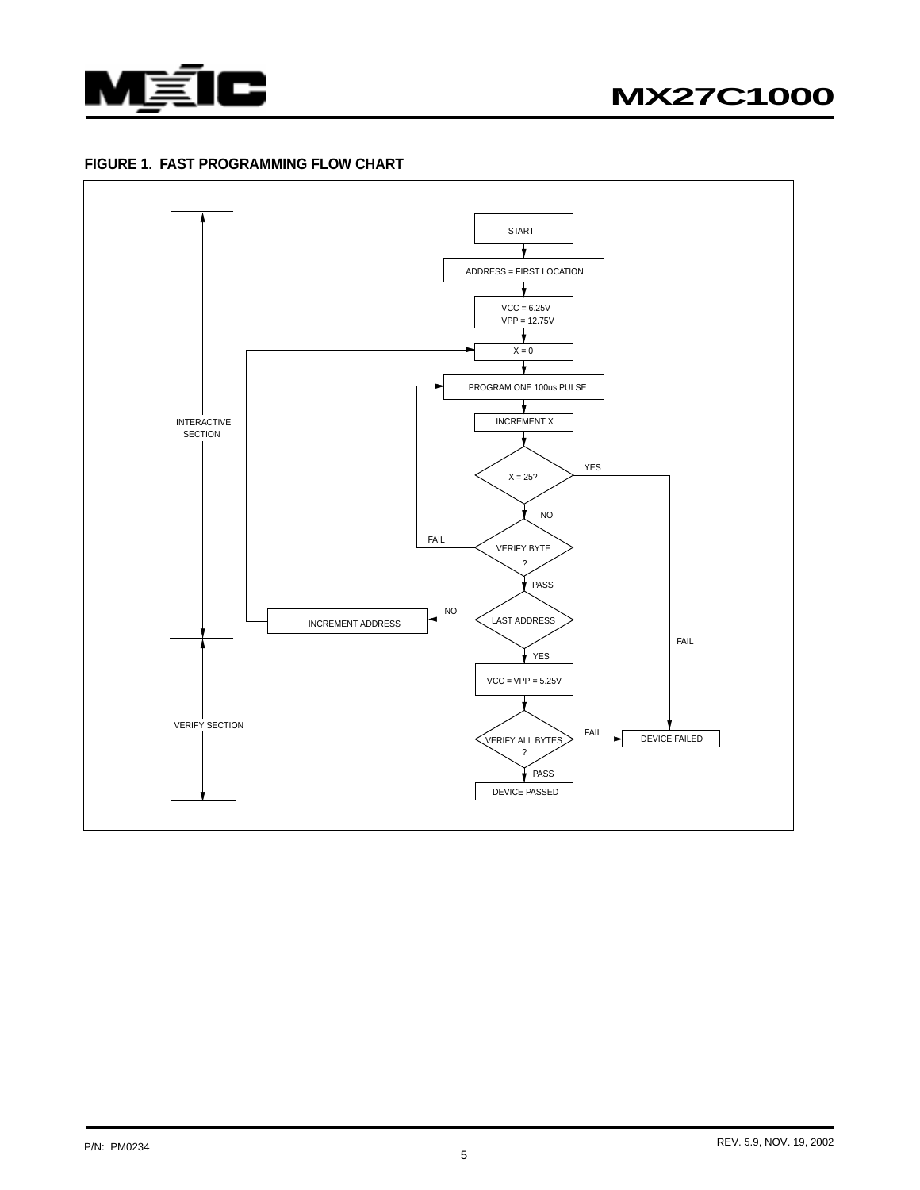

#### **FIGURE 1. FAST PROGRAMMING FLOW CHART**

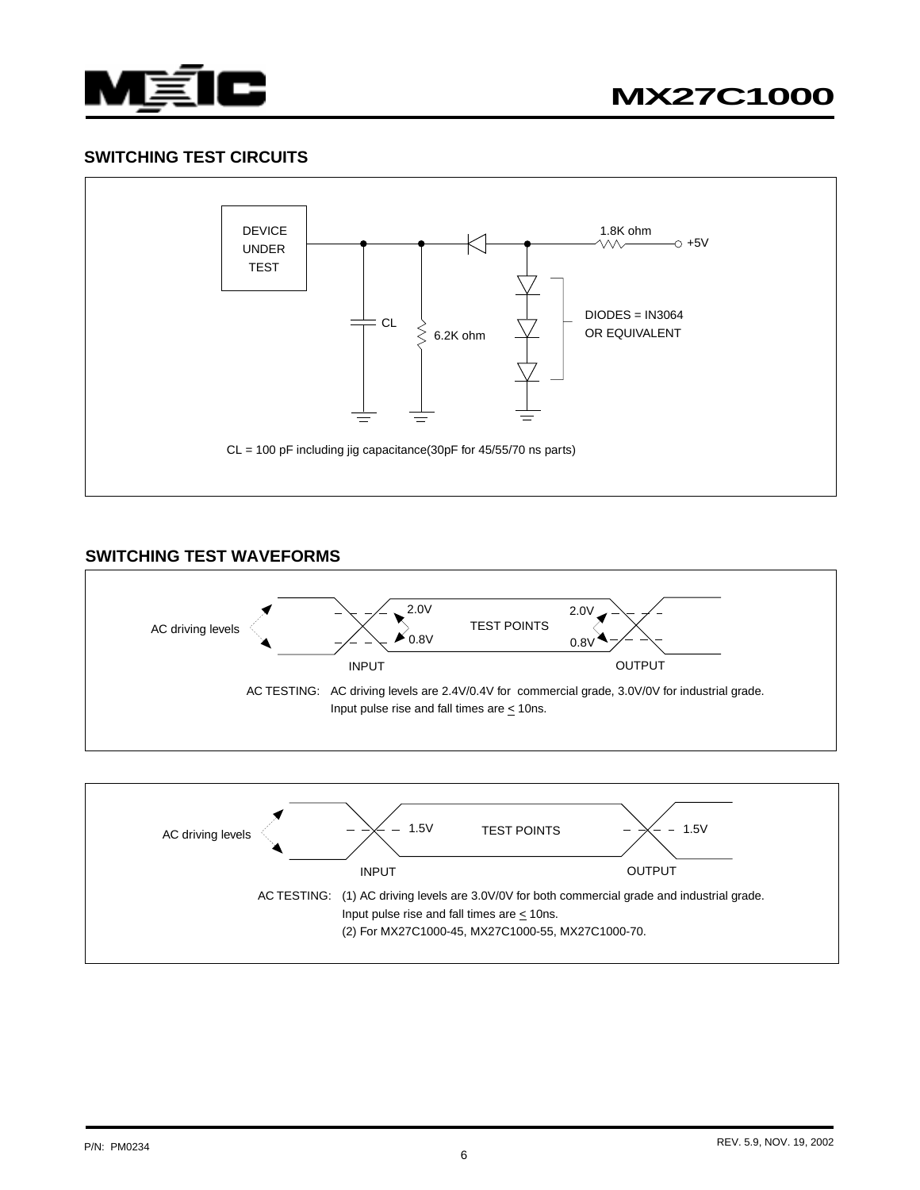

# **SWITCHING TEST CIRCUITS**



# **SWITCHING TEST WAVEFORMS**



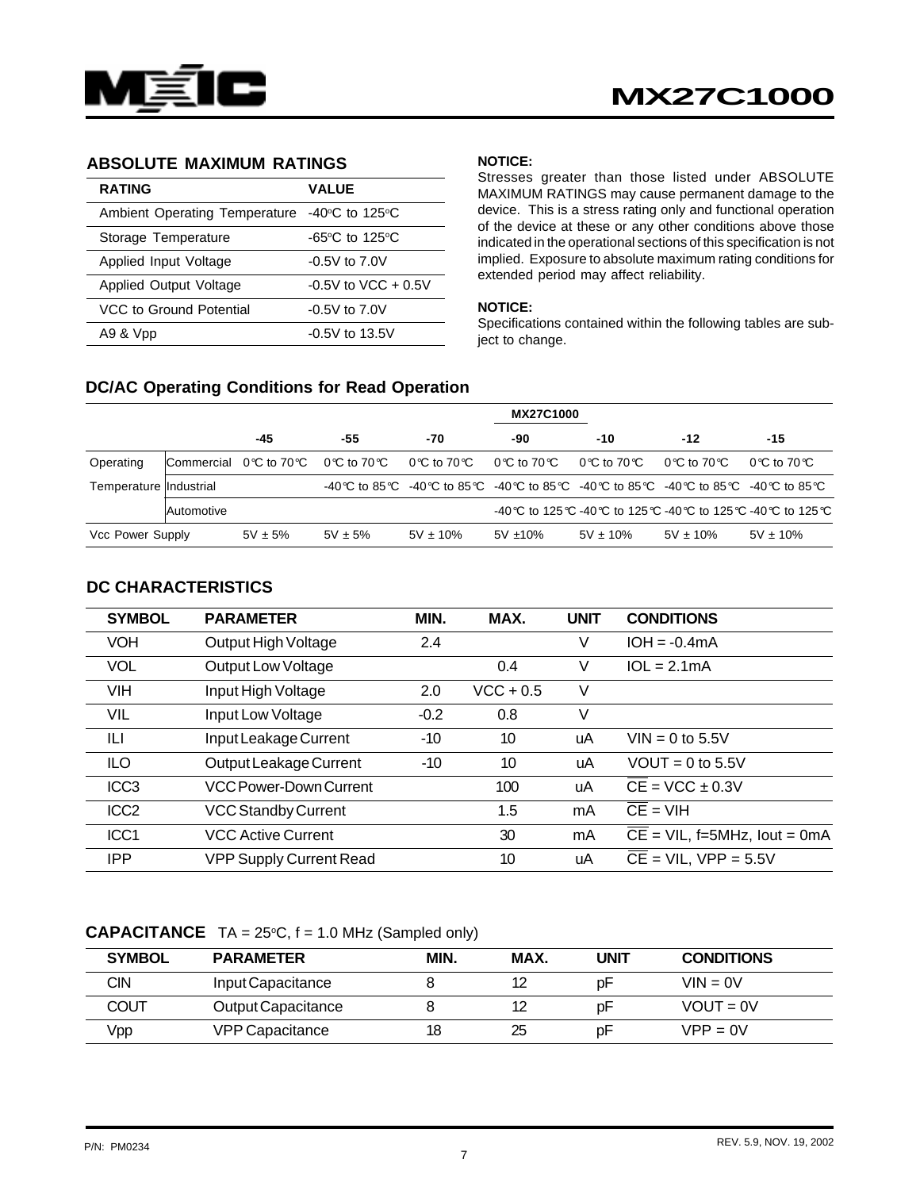

#### **ABSOLUTE MAXIMUM RATINGS**

| <b>RATING</b>                                | <b>VALUE</b>                        |
|----------------------------------------------|-------------------------------------|
| Ambient Operating Temperature -40°C to 125°C |                                     |
| Storage Temperature                          | $-65^{\circ}$ C to 125 $^{\circ}$ C |
| Applied Input Voltage                        | $-0.5V$ to $7.0V$                   |
| Applied Output Voltage                       | $-0.5V$ to VCC $+0.5V$              |
| VCC to Ground Potential                      | $-0.5V$ to $7.0V$                   |
| A9 & Vpp                                     | $-0.5V$ to 13.5V                    |

#### **NOTICE:**

Stresses greater than those listed under ABSOLUTE MAXIMUM RATINGS may cause permanent damage to the device. This is a stress rating only and functional operation of the device at these or any other conditions above those indicated in the operational sections of this specification is not implied. Exposure to absolute maximum rating conditions for extended period may affect reliability.

#### **NOTICE:**

Specifications contained within the following tables are subject to change.

#### **DC/AC Operating Conditions for Read Operation**

|                        |                   | <b>MX27C1000</b>                                      |             |               |                                                                                                 |               |                                  |                                                     |  |
|------------------------|-------------------|-------------------------------------------------------|-------------|---------------|-------------------------------------------------------------------------------------------------|---------------|----------------------------------|-----------------------------------------------------|--|
|                        |                   | -45                                                   | -55         | -70           | -90                                                                                             | $-10$         | $-12$                            | -15                                                 |  |
| Operating              |                   | $\blacksquare$ Commercial 0 °C to 70 °C 0 °C to 70 °C |             | 0℃ to 70℃     | 0℃ to 70℃                                                                                       | 0℃ to 70℃     | $0^{\circ}$ C to 70 $^{\circ}$ C | 0 °C to 70 °C                                       |  |
| Temperature Industrial |                   |                                                       |             |               | -40 °C to 85 °C -40 °C to 85 °C -40 °C to 85 °C -40 °C to 85 °C -40 °C to 85 °C -40 °C to 85 °C |               |                                  |                                                     |  |
|                        | <b>Automotive</b> |                                                       |             |               |                                                                                                 |               |                                  | -40℃ to 125℃ -40℃ to 125℃ -40℃ to 125℃ -40℃ to 125℃ |  |
| Vcc Power Supply       |                   | $5V \pm 5%$                                           | $5V \pm 5%$ | $5V \pm 10\%$ | $5V \pm 10\%$                                                                                   | $5V \pm 10\%$ | $5V \pm 10\%$                    | $5V \pm 10\%$                                       |  |

#### **DC CHARACTERISTICS**

| <b>SYMBOL</b>    | <b>PARAMETER</b>               | MIN.   | MAX.        | <b>UNIT</b> | <b>CONDITIONS</b>                         |
|------------------|--------------------------------|--------|-------------|-------------|-------------------------------------------|
| <b>VOH</b>       | Output High Voltage            | 2.4    |             | V           | $IOH = -0.4mA$                            |
| <b>VOL</b>       | Output Low Voltage             |        | 0.4         | V           | $1OL = 2.1mA$                             |
| <b>VIH</b>       | Input High Voltage             | 2.0    | $VCC + 0.5$ | V           |                                           |
| VIL              | Input Low Voltage              | $-0.2$ | 0.8         | V           |                                           |
| ILI              | Input Leakage Current          | -10    | 10          | uA          | $VIN = 0$ to 5.5V                         |
| <b>ILO</b>       | Output Leakage Current         | $-10$  | 10          | uA          | $VOUT = 0$ to 5.5V                        |
| ICC <sub>3</sub> | VCC Power-Down Current         |        | 100         | uA          | $CE = VCC \pm 0.3V$                       |
| ICC <sub>2</sub> | <b>VCC Standby Current</b>     |        | 1.5         | mA          | $CE = VIH$                                |
| ICC <sub>1</sub> | <b>VCC Active Current</b>      |        | 30          | mA          | $\overline{CE}$ = VIL, f=5MHz, lout = 0mA |
| <b>IPP</b>       | <b>VPP Supply Current Read</b> |        | 10          | uA          | $CE = VIL$ , $VPP = 5.5V$                 |

#### **CAPACITANCE**  $TA = 25^{\circ}C$ ,  $f = 1.0$  MHz (Sampled only)

| <b>SYMBOL</b> | <b>PARAMETER</b>       | MIN. | MAX. | UNIT | <b>CONDITIONS</b> |
|---------------|------------------------|------|------|------|-------------------|
| CIN           | Input Capacitance      |      |      | рF   | $VIN = 0V$        |
| COUT          | Output Capacitance     |      | 12   | рF   | $VOUT = 0V$       |
| Vpp           | <b>VPP Capacitance</b> | 18   | 25   | рF   | $VPP = 0V$        |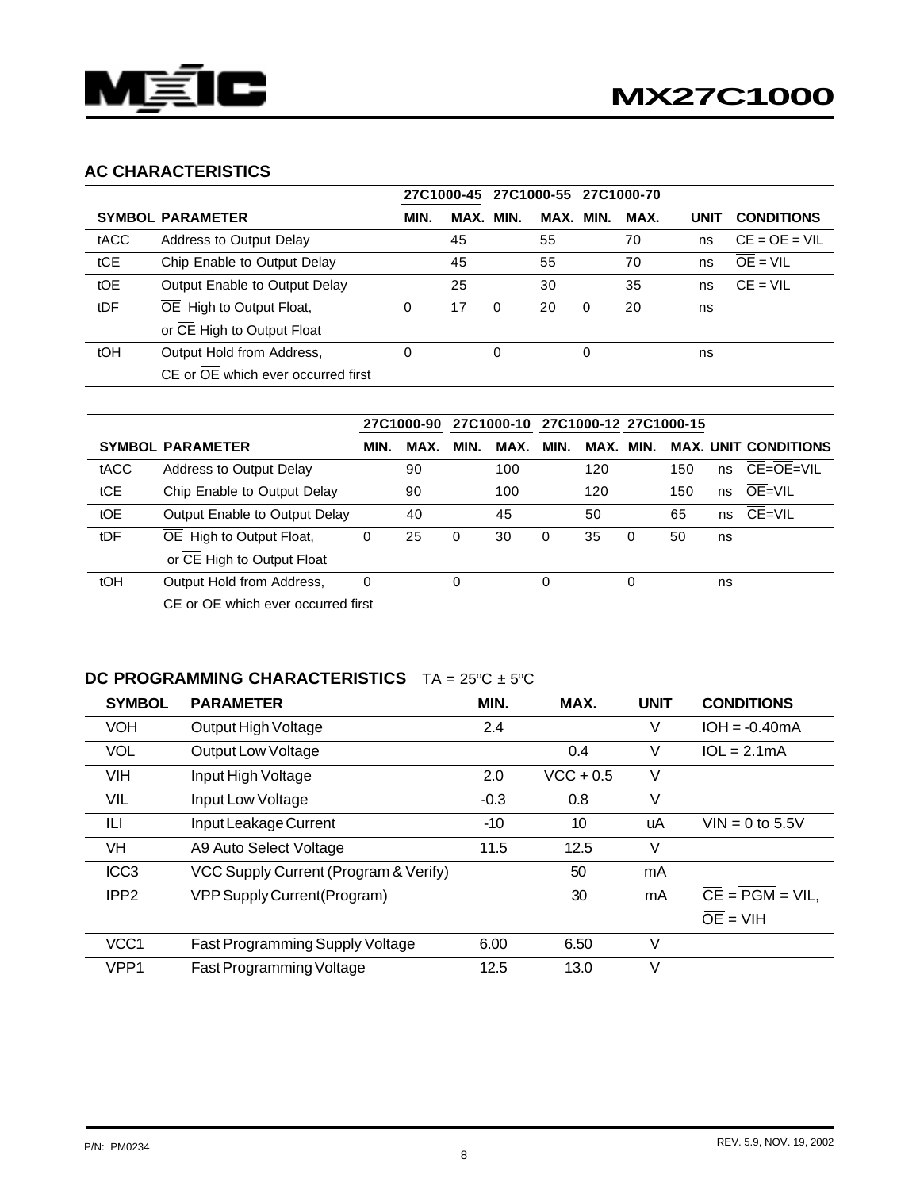

# **AC CHARACTERISTICS**

|      |                                    |      |      | 27C1000-45 27C1000-55 27C1000-70 |      |          |      |      |                                                  |
|------|------------------------------------|------|------|----------------------------------|------|----------|------|------|--------------------------------------------------|
|      | <b>SYMBOL PARAMETER</b>            | MIN. | MAX. | MIN.                             | MAX. | MIN.     | MAX. | UNIT | <b>CONDITIONS</b>                                |
| tACC | Address to Output Delay            |      | 45   |                                  | 55   |          | 70   | ns   | $\overline{CE} = \overline{OE} = \overline{VIL}$ |
| tCE  | Chip Enable to Output Delay        |      | 45   |                                  | 55   |          | 70   | ns   | $OE = VIL$                                       |
| tOE  | Output Enable to Output Delay      |      | 25   |                                  | 30   |          | 35   | ns   | $\overline{CE}$ = VIL                            |
| tDF  | OE High to Output Float,           | 0    | 17   | 0                                | 20   | $\Omega$ | 20   | ns   |                                                  |
|      | or CE High to Output Float         |      |      |                                  |      |          |      |      |                                                  |
| tOH  | Output Hold from Address,          | 0    |      | 0                                |      | 0        |      | ns   |                                                  |
|      | CE or OE which ever occurred first |      |      |                                  |      |          |      |      |                                                  |

|      |                                                              |          | 27C1000-90 |      | 27C1000-10 27C1000-12 27C1000-15 |          |           |          |     |    |                             |
|------|--------------------------------------------------------------|----------|------------|------|----------------------------------|----------|-----------|----------|-----|----|-----------------------------|
|      | <b>SYMBOL PARAMETER</b>                                      | MIN.     | MAX.       | MIN. | MAX.                             | MIN.     | MAX. MIN. |          |     |    | <b>MAX. UNIT CONDITIONS</b> |
| tACC | <b>Address to Output Delay</b>                               |          | 90         |      | 100                              |          | 120       |          | 150 | ns | CE=OE=VIL                   |
| tCE  | Chip Enable to Output Delay                                  |          | 90         |      | 100                              |          | 120       |          | 150 | ns | $OE = VIL$                  |
| tOE  | Output Enable to Output Delay                                |          | 40         |      | 45                               |          | 50        |          | 65  | ns | CE=VIL                      |
| tDF  | OE High to Output Float,                                     | 0        | 25         | 0    | 30                               | $\Omega$ | 35        | $\Omega$ | 50  | ns |                             |
|      | or CE High to Output Float                                   |          |            |      |                                  |          |           |          |     |    |                             |
| tOH  | Output Hold from Address,                                    | $\Omega$ |            | 0    |                                  | $\Omega$ |           | 0        |     | ns |                             |
|      | $\overline{CE}$ or $\overline{OE}$ which ever occurred first |          |            |      |                                  |          |           |          |     |    |                             |

#### **DC PROGRAMMING CHARACTERISTICS** TA = 25°C ± 5°C

| <b>SYMBOL</b>    | <b>PARAMETER</b>                      | MIN.   | MAX.        | <b>UNIT</b> | <b>CONDITIONS</b>     |
|------------------|---------------------------------------|--------|-------------|-------------|-----------------------|
| <b>VOH</b>       | Output High Voltage                   | 2.4    |             | V           | $IOH = -0.40mA$       |
| <b>VOL</b>       | <b>Output Low Voltage</b>             |        | 0.4         | V           | $1OL = 2.1mA$         |
| <b>VIH</b>       | Input High Voltage                    | 2.0    | $VCC + 0.5$ | V           |                       |
| VIL              | Input Low Voltage                     | $-0.3$ | 0.8         | V           |                       |
| ILI              | Input Leakage Current                 | -10    | 10          | uA          | $VIN = 0$ to 5.5V     |
| <b>VH</b>        | A9 Auto Select Voltage                | 11.5   | 12.5        | V           |                       |
| ICC <sub>3</sub> | VCC Supply Current (Program & Verify) |        | 50          | mA          |                       |
| IPP <sub>2</sub> | VPP Supply Current (Program)          |        | 30          | mA          | $CE = PGM = VIL$      |
|                  |                                       |        |             |             | $\overline{OE}$ = VIH |
| VCC <sub>1</sub> | Fast Programming Supply Voltage       | 6.00   | 6.50        | V           |                       |
| VPP <sub>1</sub> | Fast Programming Voltage              | 12.5   | 13.0        | V           |                       |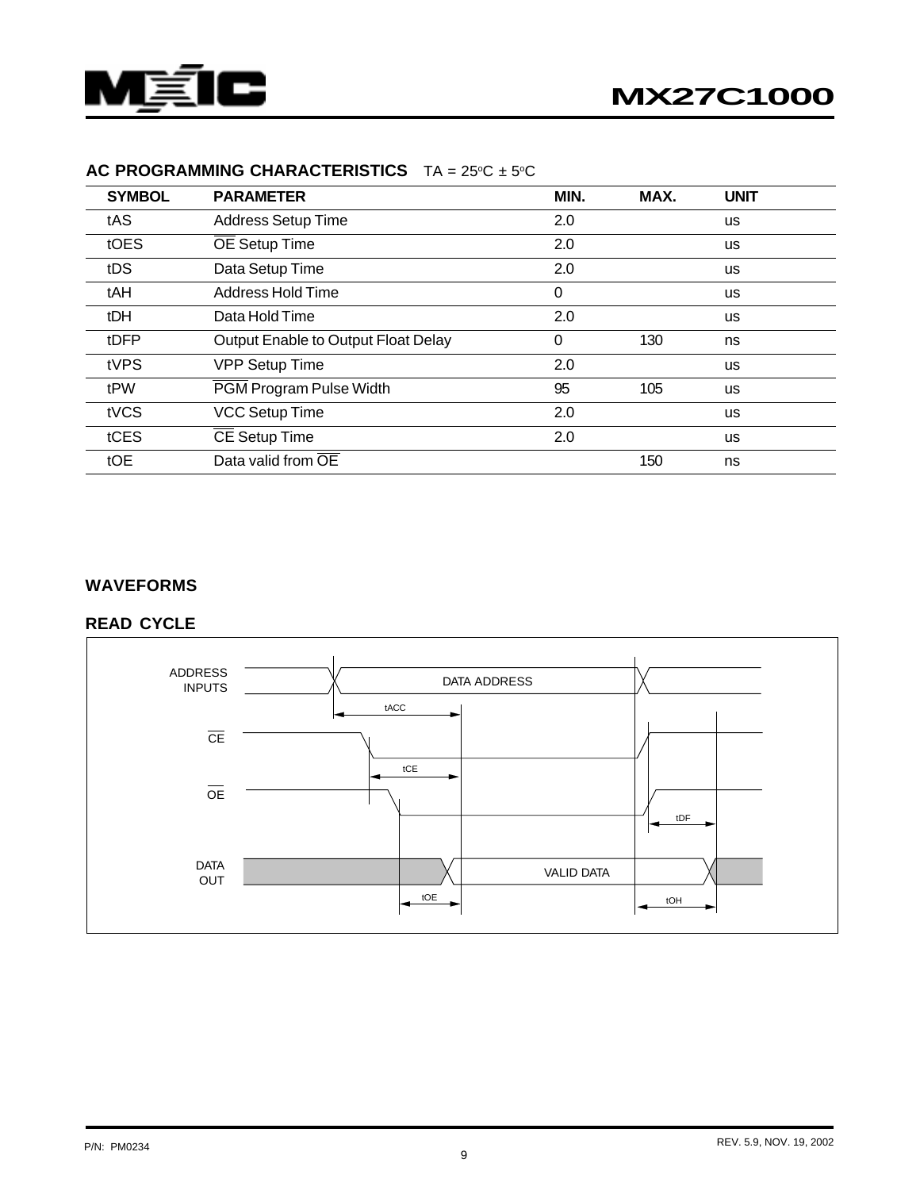

| <b>SYMBOL</b> | <b>PARAMETER</b>                    | MIN.     | MAX. | <b>UNIT</b> |
|---------------|-------------------------------------|----------|------|-------------|
| tAS           | <b>Address Setup Time</b>           | 2.0      |      | <b>us</b>   |
| tOES          | OE Setup Time                       | 2.0      |      | <b>us</b>   |
| tDS           | Data Setup Time                     | 2.0      |      | <b>us</b>   |
| tAH           | Address Hold Time                   | $\Omega$ |      | <b>us</b>   |
| tDH           | Data Hold Time                      | 2.0      |      | <b>us</b>   |
| tDFP          | Output Enable to Output Float Delay | 0        | 130  | ns          |
| tVPS          | <b>VPP Setup Time</b>               | 2.0      |      | <b>us</b>   |
| tPW           | PGM Program Pulse Width             | 95       | 105  | <b>us</b>   |
| tVCS          | <b>VCC Setup Time</b>               | 2.0      |      | <b>us</b>   |
| tCES          | CE Setup Time                       | 2.0      |      | <b>us</b>   |
| tOE           | Data valid from OE                  |          | 150  | ns          |

#### **AC PROGRAMMING CHARACTERISTICS** TA = 25°C ± 5°C

#### **WAVEFORMS**

# **READ CYCLE**

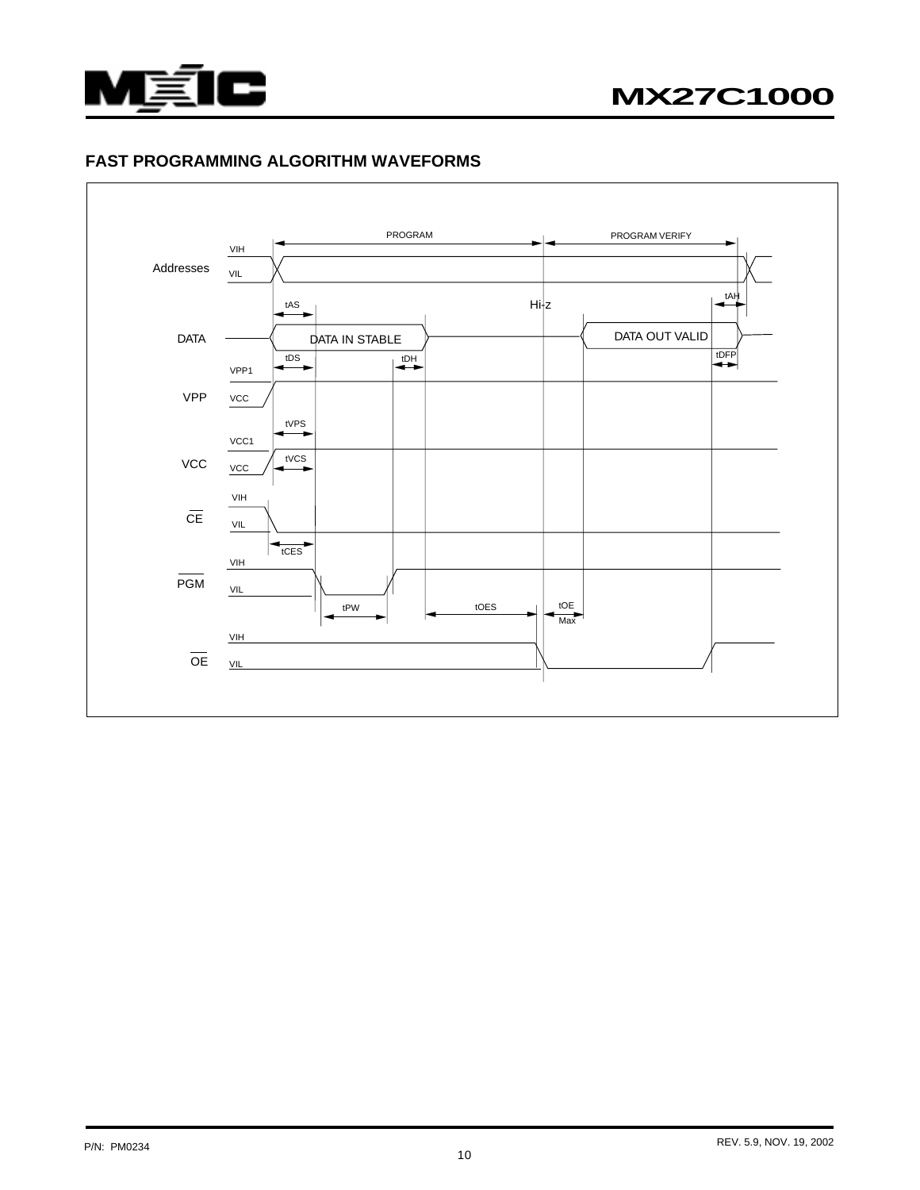

#### **FAST PROGRAMMING ALGORITHM WAVEFORMS**

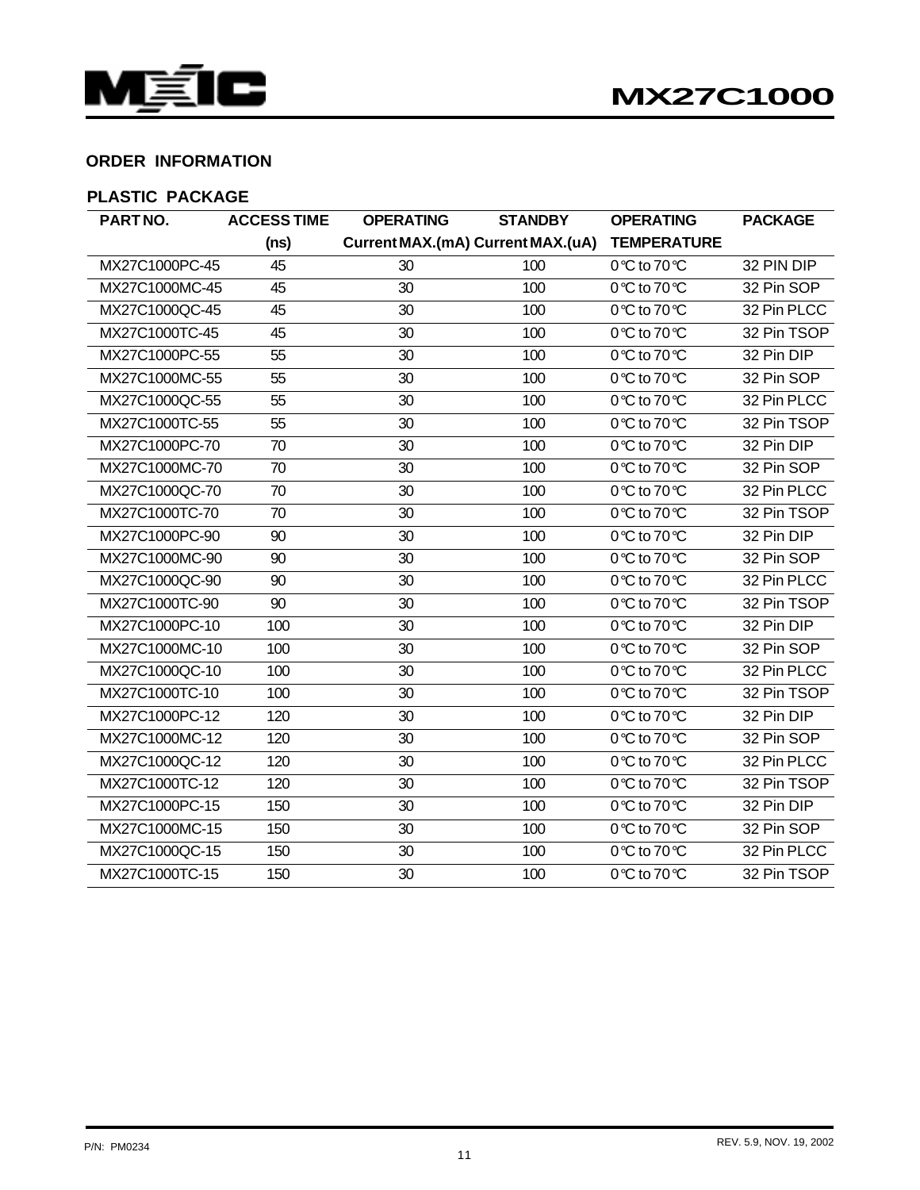

# **ORDER INFORMATION**

# **PLASTIC PACKAGE**

| PARTNO.        | <b>ACCESS TIME</b> | <b>OPERATING</b> | <b>STANDBY</b>                    | <b>OPERATING</b>   | <b>PACKAGE</b> |
|----------------|--------------------|------------------|-----------------------------------|--------------------|----------------|
|                | (ns)               |                  | Current MAX.(mA) Current MAX.(uA) | <b>TEMPERATURE</b> |                |
| MX27C1000PC-45 | 45                 | 30               | 100                               | 0℃ to 70℃          | 32 PIN DIP     |
| MX27C1000MC-45 | 45                 | 30               | 100                               | 0℃ to 70℃          | 32 Pin SOP     |
| MX27C1000QC-45 | 45                 | 30               | 100                               | 0℃ to 70℃          | 32 Pin PLCC    |
| MX27C1000TC-45 | 45                 | 30               | 100                               | 0℃ to 70℃          | 32 Pin TSOP    |
| MX27C1000PC-55 | 55                 | 30               | 100                               | 0℃ to 70℃          | 32 Pin DIP     |
| MX27C1000MC-55 | 55                 | 30               | 100                               | 0℃ to 70℃          | 32 Pin SOP     |
| MX27C1000QC-55 | 55                 | 30               | 100                               | 0℃ to 70℃          | 32 Pin PLCC    |
| MX27C1000TC-55 | 55                 | 30               | 100                               | 0℃ to 70℃          | 32 Pin TSOP    |
| MX27C1000PC-70 | 70                 | 30               | 100                               | 0℃ to 70℃          | 32 Pin DIP     |
| MX27C1000MC-70 | 70                 | 30               | 100                               | 0℃ to 70℃          | 32 Pin SOP     |
| MX27C1000QC-70 | 70                 | 30               | 100                               | 0℃ to 70℃          | 32 Pin PLCC    |
| MX27C1000TC-70 | 70                 | 30               | 100                               | 0℃ to 70℃          | 32 Pin TSOP    |
| MX27C1000PC-90 | 90                 | 30               | 100                               | 0℃ to 70℃          | 32 Pin DIP     |
| MX27C1000MC-90 | 90                 | 30               | 100                               | 0℃ to 70℃          | 32 Pin SOP     |
| MX27C1000QC-90 | 90                 | 30               | 100                               | 0℃ to 70℃          | 32 Pin PLCC    |
| MX27C1000TC-90 | 90                 | 30               | 100                               | 0℃ to 70℃          | 32 Pin TSOP    |
| MX27C1000PC-10 | 100                | 30               | 100                               | 0℃ to 70℃          | 32 Pin DIP     |
| MX27C1000MC-10 | 100                | 30               | 100                               | 0℃ to 70℃          | 32 Pin SOP     |
| MX27C1000QC-10 | 100                | 30               | 100                               | 0℃ to 70℃          | 32 Pin PLCC    |
| MX27C1000TC-10 | 100                | 30               | 100                               | 0℃ to 70℃          | 32 Pin TSOP    |
| MX27C1000PC-12 | 120                | 30               | 100                               | 0℃ to 70℃          | 32 Pin DIP     |
| MX27C1000MC-12 | 120                | 30               | 100                               | 0℃ to 70℃          | 32 Pin SOP     |
| MX27C1000QC-12 | 120                | 30               | 100                               | 0℃ to 70℃          | 32 Pin PLCC    |
| MX27C1000TC-12 | 120                | 30               | 100                               | 0℃ to 70℃          | 32 Pin TSOP    |
| MX27C1000PC-15 | 150                | 30               | 100                               | 0℃ to 70℃          | 32 Pin DIP     |
| MX27C1000MC-15 | 150                | 30               | 100                               | 0℃ to 70℃          | 32 Pin SOP     |
| MX27C1000QC-15 | 150                | 30               | 100                               | 0℃ to 70℃          | 32 Pin PLCC    |
| MX27C1000TC-15 | 150                | 30               | 100                               | 0℃ to 70℃          | 32 Pin TSOP    |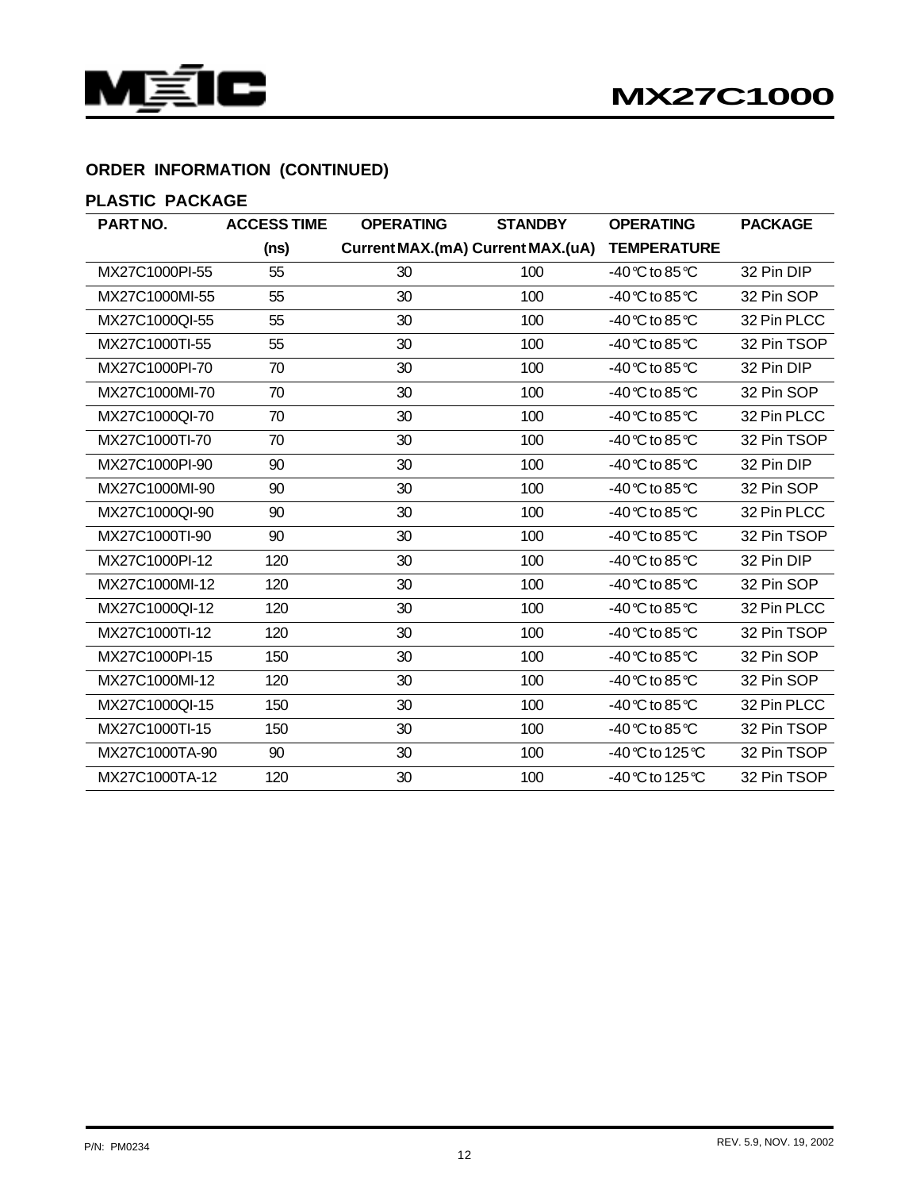



# **ORDER INFORMATION (CONTINUED)**

# **PLASTIC PACKAGE**

| PARTNO.        | <b>ACCESS TIME</b> | <b>OPERATING</b> | <b>STANDBY</b>                    | <b>OPERATING</b>                  | <b>PACKAGE</b> |
|----------------|--------------------|------------------|-----------------------------------|-----------------------------------|----------------|
|                | (ns)               |                  | Current MAX.(mA) Current MAX.(uA) | <b>TEMPERATURE</b>                |                |
| MX27C1000PI-55 | 55                 | 30               | 100                               | -40℃ to 85℃                       | 32 Pin DIP     |
| MX27C1000MI-55 | 55                 | 30               | 100                               | -40 ℃ to 85 ℃                     | 32 Pin SOP     |
| MX27C1000QI-55 | 55                 | 30               | 100                               | -40 °C to 85 °C                   | 32 Pin PLCC    |
| MX27C1000TI-55 | 55                 | 30               | 100                               | -40 ℃ to 85 ℃                     | 32 Pin TSOP    |
| MX27C1000PI-70 | 70                 | 30               | 100                               | -40℃ to 85℃                       | 32 Pin DIP     |
| MX27C1000Ml-70 | 70                 | 30               | 100                               | -40 °C to 85 °C                   | 32 Pin SOP     |
| MX27C1000QI-70 | 70                 | 30               | 100                               | -40 $\degree$ C to 85 $\degree$ C | 32 Pin PLCC    |
| MX27C1000TI-70 | 70                 | 30               | 100                               | -40 ℃ to 85 ℃                     | 32 Pin TSOP    |
| MX27C1000PI-90 | 90                 | 30               | 100                               | -40℃ to 85℃                       | 32 Pin DIP     |
| MX27C1000MI-90 | 90                 | 30               | 100                               | -40 ℃ to 85 ℃                     | 32 Pin SOP     |
| MX27C1000QI-90 | 90                 | 30               | 100                               | -40 °C to 85 °C                   | 32 Pin PLCC    |
| MX27C1000TI-90 | 90                 | 30               | 100                               | -40 ℃ to 85 ℃                     | 32 Pin TSOP    |
| MX27C1000PI-12 | 120                | 30               | 100                               | -40℃ to 85℃                       | 32 Pin DIP     |
| MX27C1000Ml-12 | 120                | 30               | 100                               | -40 ℃ to 85 ℃                     | 32 Pin SOP     |
| MX27C1000Ql-12 | 120                | 30               | 100                               | -40℃ to 85℃                       | 32 Pin PLCC    |
| MX27C1000TI-12 | 120                | 30               | 100                               | -40 ℃ to 85 ℃                     | 32 Pin TSOP    |
| MX27C1000PI-15 | 150                | 30               | 100                               | -40℃ to 85℃                       | 32 Pin SOP     |
| MX27C1000Ml-12 | 120                | 30               | 100                               | -40 °C to 85 °C                   | 32 Pin SOP     |
| MX27C1000Ql-15 | 150                | 30               | 100                               | -40℃ to 85℃                       | 32 Pin PLCC    |
| MX27C1000TI-15 | 150                | 30               | 100                               | -40℃ to 85℃                       | 32 Pin TSOP    |
| MX27C1000TA-90 | 90                 | 30               | 100                               | -40℃ to 125℃                      | 32 Pin TSOP    |
| MX27C1000TA-12 | 120                | 30               | 100                               | -40℃ to 125℃                      | 32 Pin TSOP    |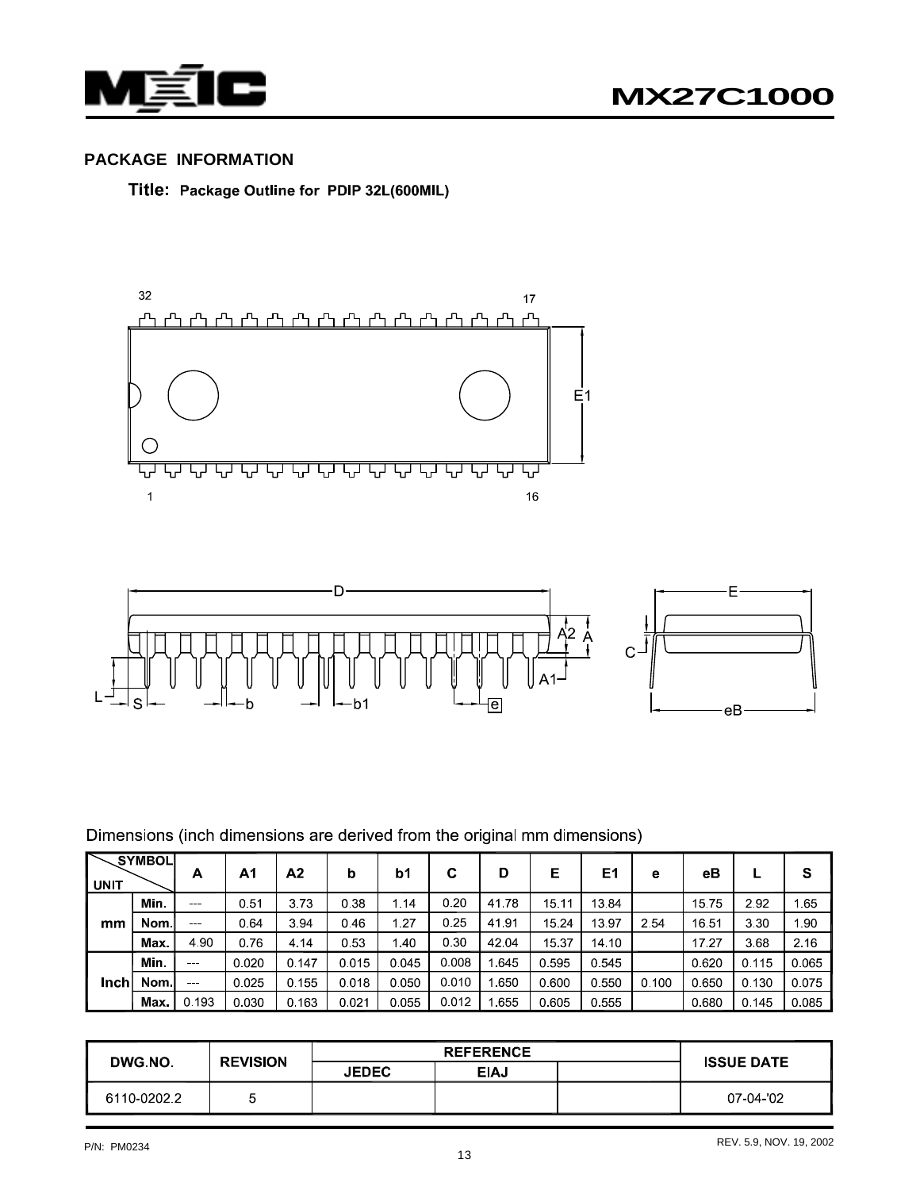

# **PACKAGE INFORMATION**

Title: Package Outline for PDIP 32L(600MIL)





# Dimensions (inch dimensions are derived from the original mm dimensions)

| <b>UNIT</b> | <b>SYMBOL</b> | Α                    | Α1    | Α2    | b     | b1    | С     | D     | Е     | E1    | е     | eВ    |       | S     |
|-------------|---------------|----------------------|-------|-------|-------|-------|-------|-------|-------|-------|-------|-------|-------|-------|
|             | Min.          | $\sim$ $\sim$ $\sim$ | 0.51  | 3.73  | 0.38  | 1.14  | 0.20  | 41.78 | 15.11 | 13.84 |       | 15.75 | 2.92  | 165   |
| mm          | Nom.          | $- - -$              | 0.64  | 3.94  | 0.46  | 1.27  | 0.25  | 41.91 | 15.24 | 13.97 | 2.54  | 16.51 | 3.30  | 1.90  |
|             | Max.          | 4.90                 | 0.76  | 4.14  | 0.53  | 1.40  | 0.30  | 42.04 | 15.37 | 14 10 |       | 17.27 | 3.68  | 2.16  |
|             | Min.          | $\sim$               | 0.020 | 0.147 | 0.015 | 0.045 | 0.008 | 645   | 0.595 | 0.545 |       | 0.620 | 0.115 | 0.065 |
| Inch        | Nom.          | $-$                  | 0.025 | 0.155 | 0.018 | 0.050 | 0.010 | 650   | 0.600 | 0.550 | 0.100 | 0.650 | 0.130 | 0.075 |
|             | Max.          | 0.193                | 0.030 | 0.163 | 0.021 | 0.055 | 0.012 | .655  | 0.605 | 0.555 |       | 0.680 | 0.145 | 0.085 |

| DWG NO.     | <b>REVISION</b> | <b>JEDEC</b> | <b>EIAJ</b> |  | <b>ISSUE DATE</b> |
|-------------|-----------------|--------------|-------------|--|-------------------|
| 6110-0202.2 | ∽               |              |             |  | 07-04-02          |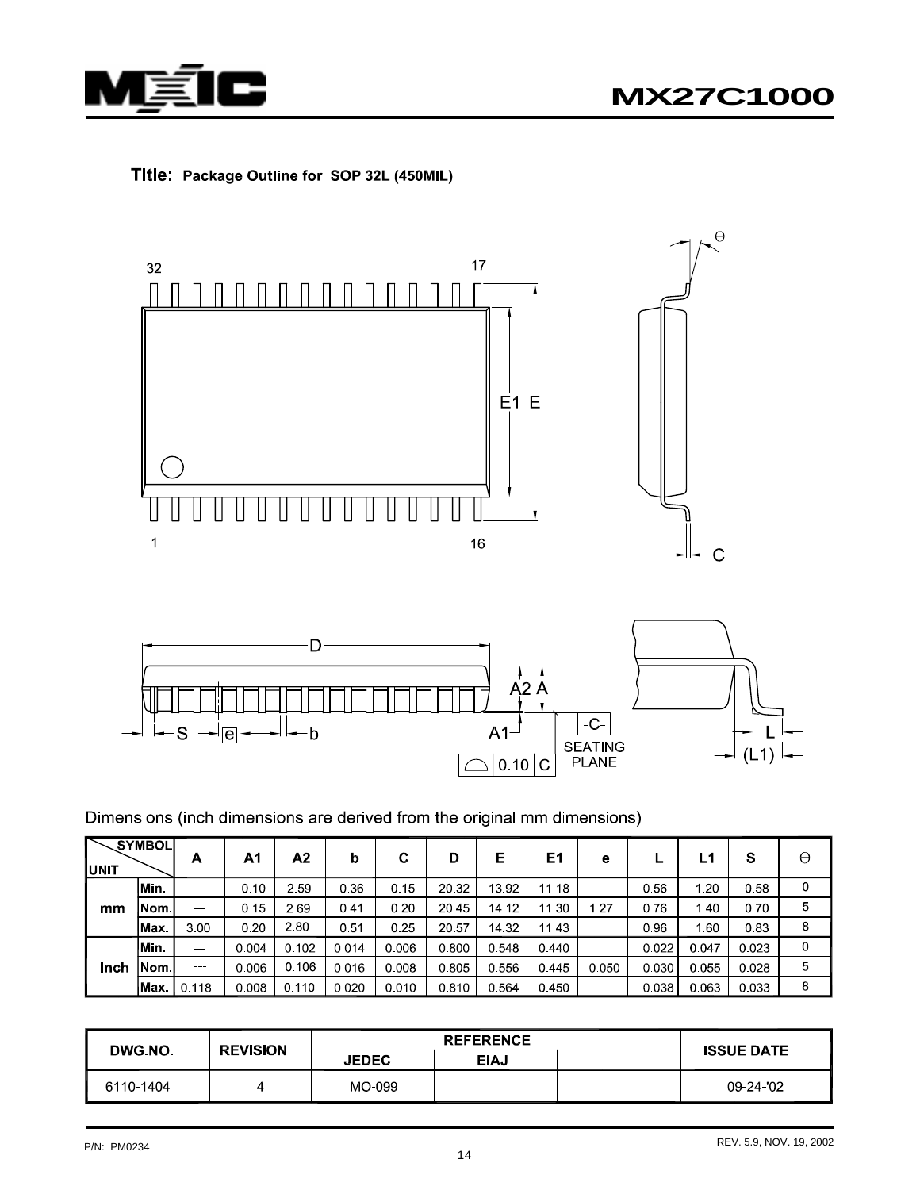







Dimensions (inch dimensions are derived from the original mm dimensions)

| IUNIT | <b>SYMBOL</b> | A             | A1    | А2    | b       | C     | D     | Е     | Ε1    | е     |       | L1    | S     | θ |
|-------|---------------|---------------|-------|-------|---------|-------|-------|-------|-------|-------|-------|-------|-------|---|
|       | lMin.         |               | 0.10  | 2.59  | 0.36    | 0.15  | 20 32 | 13.92 | 11.18 |       | 0.56  | 1.20  | 0.58  | 0 |
| mm    | lNom l        | $\sim$ $\sim$ | 0.15  | 2.69  | 0.41    | 0.20  | 20 45 | 14.12 | 11.30 | 1.27  | 0.76  | 1.40  | 0.70  | 5 |
|       | Max.          | 3.00          | 0.20  | 2.80  | 0.51    | 0.25  | 20.57 | 14.32 | 1143  |       | 0.96  | 1.60  | 0.83  | 8 |
|       | Min.          | $\sim$ $\sim$ | 0.004 | 0.102 | 0.014   | 0.006 | 0.800 | 0.548 | 0.440 |       | 0.022 | 0.047 | 0.023 | 0 |
| Inch  | INom I        |               | 0.006 | 0.106 | 0 0 1 6 | 0.008 | 0.805 | 0.556 | 0.445 | 0.050 | 0.030 | 0.055 | 0.028 | 5 |
|       | lMax.         | 0.118         | 0.008 | 0.110 | 0 0 2 0 | 0.010 | 0.810 | 0564  | 0.450 |       | 0.038 | 0.063 | 0.033 | 8 |

| <b>DWG NO</b> | <b>REVISION</b> |              | <b>ISSUE DATE</b> |  |          |
|---------------|-----------------|--------------|-------------------|--|----------|
|               |                 | <b>JEDEC</b> | <b>EIAJ</b>       |  |          |
| 6110-1404     |                 | MO-099       |                   |  | 09-24-02 |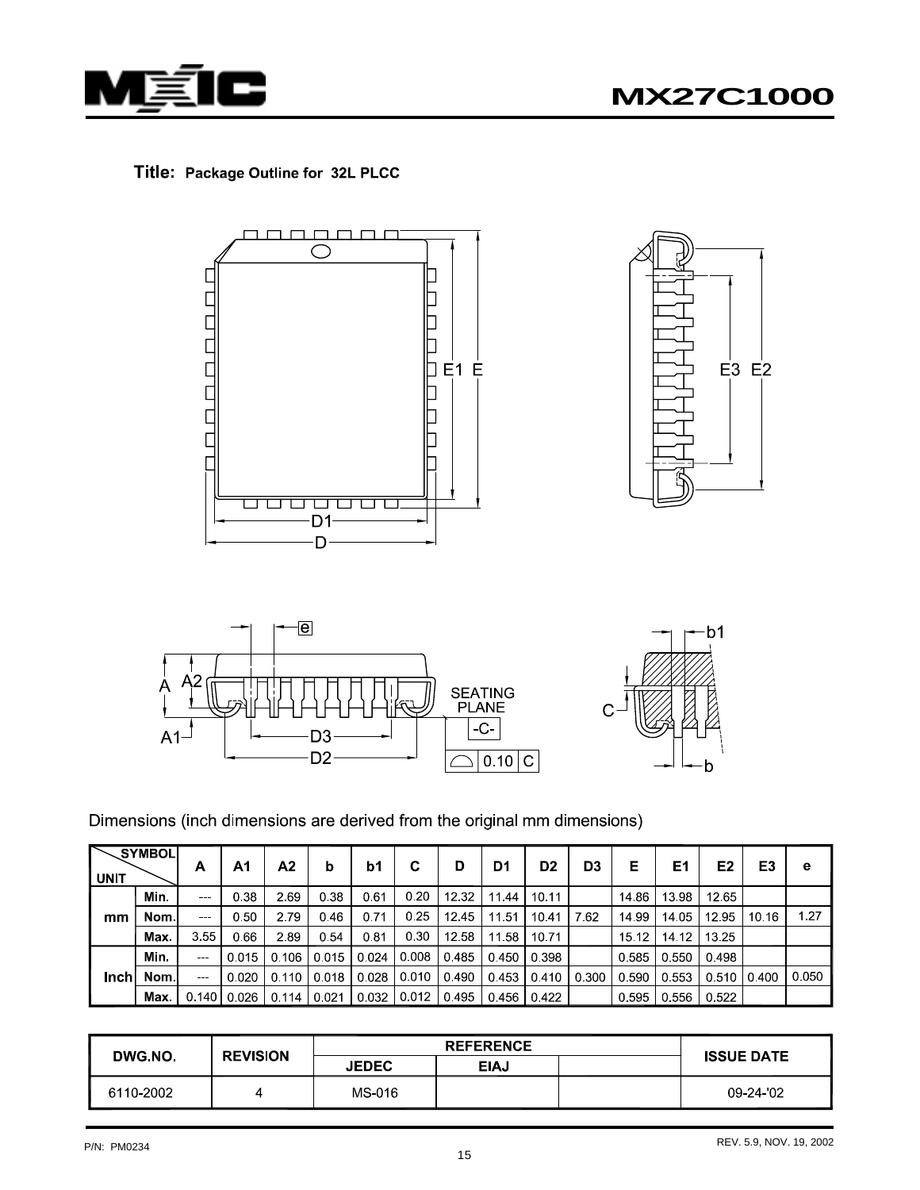







Dimensions (inch dimensions are derived from the original mm dimensions)

| <b>UNIT</b> | SYMBOL | Α             | Α1              | Α2      | b     | b1    | C     | D     | D1    | D <sub>2</sub> | D <sub>3</sub> | Е     | E1    | E <sub>2</sub> | E3    | е     |
|-------------|--------|---------------|-----------------|---------|-------|-------|-------|-------|-------|----------------|----------------|-------|-------|----------------|-------|-------|
|             | Min.   |               | 0.38            | 2.69    | 0.38  | 0.61  | 0.20  | 12.32 | 11.44 | 10.11          |                | 14.86 | 1398  | 1265           |       |       |
| mm          | Nom l  |               | 0.50            | 2.79    | 0.46  | 0.71  | 0.25  | 12.45 | 11 51 | 10.41          | 7.62           | 14 99 | 14.05 | 12.95          | 10.16 | 1.27  |
|             | Max.   | 3.55          | 0.66            | 2.89    | 0.54  | 0.81  | 0.30  | 12.58 | 11.58 | 10.71          |                | 15.12 | 14.12 | 13.25          |       |       |
|             | Min.   | $\sim$ $\sim$ | 0.015           | 0.106   | 0.015 | 0.024 | 0.008 | 0.485 | 0.450 | 0.398          |                | 0.585 | 0.550 | 0.498          |       |       |
| Inch        | Nom l  | $\sim$ $\sim$ | 0.020           | 0 1 1 0 | 0.018 | 0.028 | 0.010 | 0.490 | 0.453 | 0.410          | 0.300          | 0.590 | 0.553 | $0.510$ l      | 0.400 | 0.050 |
|             | Max.   |               | $0.140$   0.026 | 0.114   | 0.021 | 0.032 | 0.012 | 0.495 | 0.456 | 0.422          |                | 0.595 | 0.556 | 0.522          |       |       |

|           | <b>REVISION</b> |              |      |  |                   |
|-----------|-----------------|--------------|------|--|-------------------|
| DWG NO.   |                 | <b>JEDEC</b> | EIAJ |  | <b>ISSUE DATE</b> |
| 6110-2002 |                 | MS-016       |      |  | 09 24 '02         |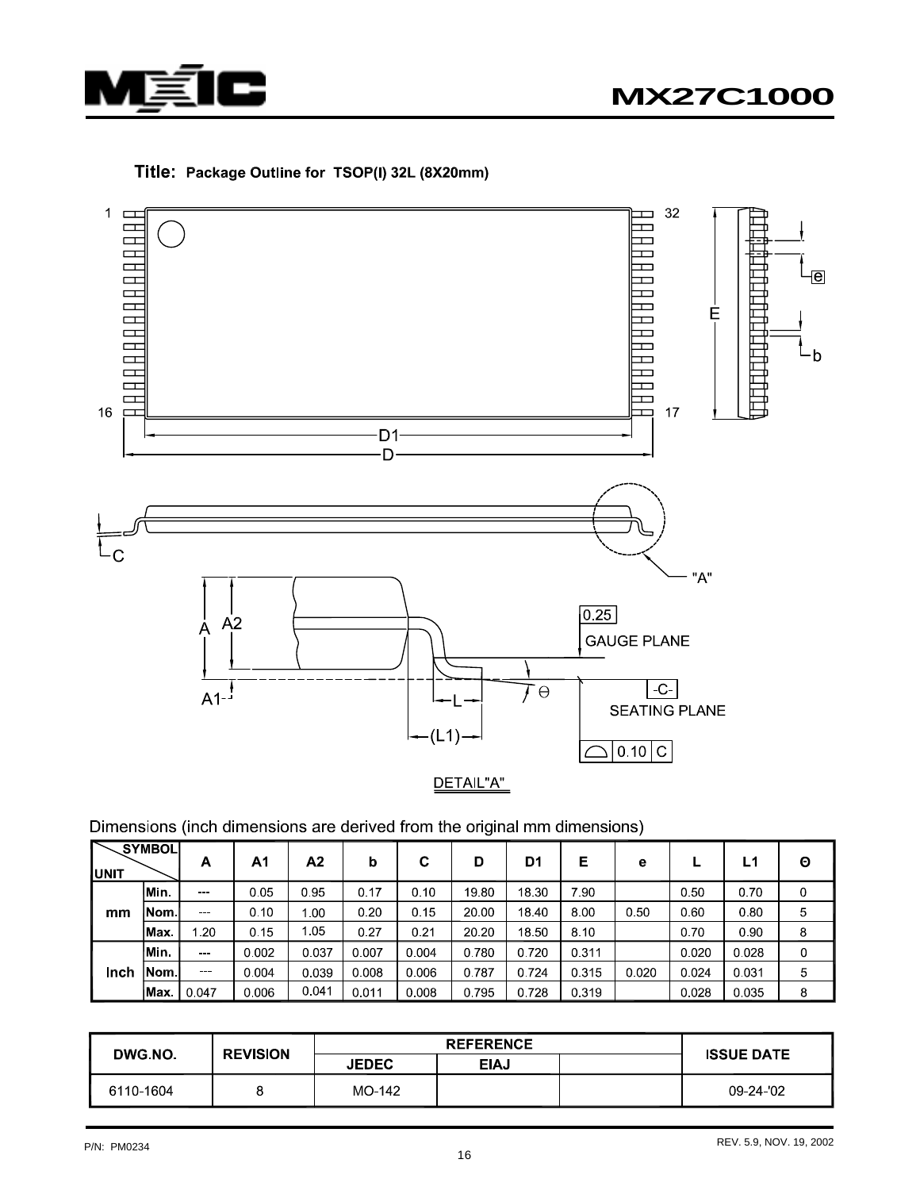

### Title: Package Outline for TSOP(I) 32L (8X20mm)



Dimensions (inch dimensions are derived from the original mm dimensions)

| IUNIT       | <b>SYMBOL</b> | A               | A1    | A2    | b       | С     | D     | D1    | Е     | е     |       | L1    | Θ |
|-------------|---------------|-----------------|-------|-------|---------|-------|-------|-------|-------|-------|-------|-------|---|
|             | Min.          | $-$             | 0.05  | 0.95  | 0.17    | 0.10  | 19.80 | 18 30 | 7.90  |       | 0.50  | 0.70  | 0 |
| mm          | Nom l         | $- - -$         | 0.10  | 1.00  | 0.20    | 0.15  | 20.00 | 18.40 | 8.00  | 0.50  | 0.60  | 0.80  | 5 |
|             | lMax.         | $\overline{20}$ | 0.15  | 1.05  | 0.27    | 0.21  | 20 20 | 18.50 | 8.10  |       | 0.70  | 0.90  | 8 |
|             | Min.          | <b>SHOP</b>     | 0.002 | 0.037 | 0.007   | 0.004 | 0.780 | 0.720 | 0.311 |       | 0.020 | 0.028 | 0 |
| <b>Inch</b> | Nom           | $-$             | 0.004 | 0.039 | 0 0 0 8 | 0.006 | 0.787 | 0.724 | 0.315 | 0.020 | 0.024 | 0.031 | 5 |
|             | lMax          | 0.047           | 0.006 | 0.041 | 0.011   | 0.008 | 0.795 | 0728  | 0.319 |       | 0.028 | 0.035 | 8 |

| <b>DWG NO.</b> | <b>REVISION</b> |              |             |  |                   |
|----------------|-----------------|--------------|-------------|--|-------------------|
|                |                 | <b>JEDEC</b> | <b>EIAJ</b> |  | <b>ISSUE DATE</b> |
| 6110-1604      |                 | MO-142       |             |  | 09-24-02          |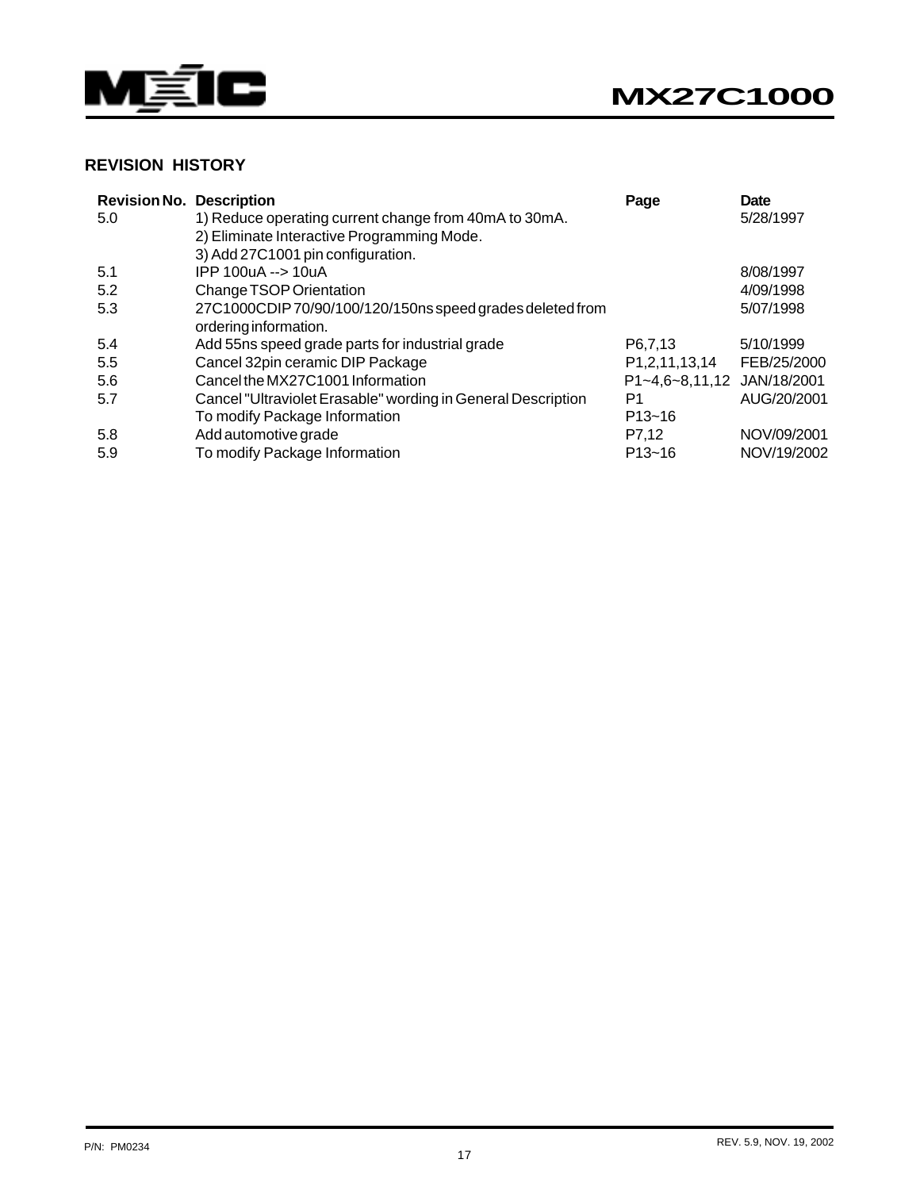



#### **REVISION HISTORY**

| <b>Revision No. Description</b> |                                                              | Page                       | Date        |
|---------------------------------|--------------------------------------------------------------|----------------------------|-------------|
| 5.0                             | 1) Reduce operating current change from 40mA to 30mA.        |                            | 5/28/1997   |
|                                 | 2) Eliminate Interactive Programming Mode.                   |                            |             |
|                                 | 3) Add 27C1001 pin configuration.                            |                            |             |
| 5.1                             | IPP 100uA --> 10uA                                           |                            | 8/08/1997   |
| 5.2                             | Change TSOP Orientation                                      |                            | 4/09/1998   |
| 5.3                             | 27C1000CDIP70/90/100/120/150ns speed grades deleted from     |                            | 5/07/1998   |
|                                 | ordering information.                                        |                            |             |
| 5.4                             | Add 55ns speed grade parts for industrial grade              | P6.7.13                    | 5/10/1999   |
| 5.5                             | Cancel 32pin ceramic DIP Package                             | P1,2,11,13,14              | FEB/25/2000 |
| 5.6                             | Cancel the MX27C1001 Information                             | P1~4,6~8,11,12 JAN/18/2001 |             |
| 5.7                             | Cancel "Ultraviolet Erasable" wording in General Description | P1                         | AUG/20/2001 |
|                                 | To modify Package Information                                | $P13 - 16$                 |             |
| 5.8                             | Add automotive grade                                         | P7,12                      | NOV/09/2001 |
| 5.9                             | To modify Package Information                                | $P13 - 16$                 | NOV/19/2002 |